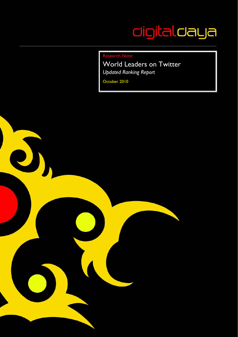# digitaldaya

Research Note:

World Leaders on Twitter *Updated Ranking Report* 

October 2010

J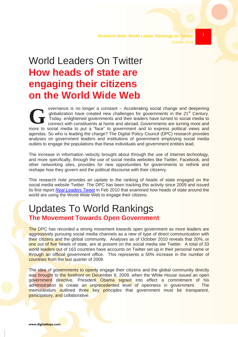### 1

# World Leaders On Twitter **How heads of state are engaging their citizens on the World Wide Web**

G <sup>a</sup> a overnance is no longer a constant – Accelerating social change and deepening globalization have created new challenges for governments in the 21<sup>st</sup> Century. Today, enlightened governments and their leaders have turned to social media to connect with constituents at home and abroad. Governments are turning more and more to social media to put a "face" to government and to express political views and agendas. So who is leading the charge? The Digital Policy Council (DPC) research provides analyses on government leaders and institutions of government employing social media outlets to engage the populations that these individuals and government entities lead.

The increase in information velocity brought about through the use of Internet technology, and more specifically, through the use of social media websites like Twitter, Facebook, and other networking sites, provides for new opportunities for governments to rethink and reshape how they govern and the political discourse with their citizenry.

This research note provides an update to the ranking of heads of state engaged on the social media website Twitter. The DPC has been tracking this activity since 2009 and issued its first report *Real Leaders Tweet* in Feb 2010 that examined how heads of state around the world are using the World Wide Web to engage their citizens.

## Updates To World Rankings **The Movement Towards Open Government**

The DPC has recorded a strong movement towards open government as more leaders are aggressively pursuing social media channels as a new of type of direct communication with their citizens and the global community. Analyses as of October 2010 reveals that 20%, or one out of five heads of state, are at present on the social media site Twitter. A total of 33 world leaders out of 163 countries have accounts on Twitter set up in their personal name or through an official government office. This represents a 50% increase in the number of countries from the last quarter of 2009.

The idea of governments to openly engage their citizens and the global community directly was brought to the forefront on December 8, 2009, when the White House issued an open government directive. President Obama signed into effect a commitment of his administration to create an unprecedented level of openness in government. The memorandum outlined three key principles that government must be transparent, participatory, and collaborative.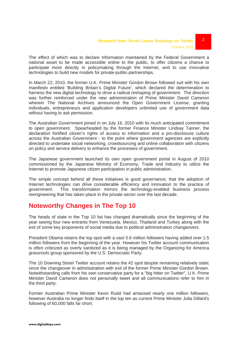The effect of which was to declare Information maintained by the Federal Government a national asset to be made accessible online to the public, to offer citizens a chance to participate more directly in policymaking through the Internet, and to use innovative technologies to build new models for private-public-partnerships.

In March 22, 2010, the former U.K. Prime Minister Gordon Brown followed suit with his own manifesto entitled 'Building Britain's Digital Future', which declared the determination to harness the new digital technology to drive a radical reshaping of government. The direction was further reinforced under the new administration of Prime Minister David Cameron wherein The National Archives announced the Open Government License, granting individuals, entrepreneurs and application developers unlimited use of government data without having to ask permission.

The Australian Government joined in on July 16, 2010 with its much anticipated commitment to open government. Spearheaded by the former Finance Minister Lindsay Tanner, the declaration fortified citizen's rights of access to information and a pro-disclosure culture across the Australian Government - to the point where government agencies are explicitly directed to undertake social networking, crowdsourcing and online collaboration with citizens on policy and service delivery to enhance the processes of government.

The Japanese government launched its own open government portal in August of 2010 commissioned by the Japanese Ministry of Economy, Trade and Industry to utilize the Internet to promote Japanese citizen participation in public administration.

The simple concept behind all these initiatives is good governance; that the adoption of Internet technologies can drive considerable efficiency and innovation to the practice of government. This transformation mirrors the technology-enabled business process reengineering that has taken place in the private sector over the last decade.

#### **Noteworthy Changes in The Top 10**

The heads of state in the Top 10 list has changed dramatically since the beginning of the year seeing four new entrants from Venezuela, Mexico, Thailand and Turkey along with the exit of some key proponents of social media due to political administration changeovers.

President Obama retains the top spot with a vast 5.6 million followers having added over 1.5 million followers from the beginning of the year. However his Twitter account communication is often criticized as overly sanitized as it is being managed by the Organizing for America grassroots group sponsored by the U.S. Democratic Party.

The 10 Downing Street Twitter account retains the #2 spot despite remaining relatively static since the changeover in administration with exit of the former Prime Minister Gordon Brown. Notwithstanding calls from his own conservative party for a "big hitter on Twitter", U.K. Prime Minister David Cameron does not personally tweet and all communications refer to him in the third party.

Former Australian Prime Minister Kevin Rudd had amassed nearly one million followers, however Australia no longer finds itself in the top ten as current Prime Minister Julia Gillard's following of 60,000 falls far short.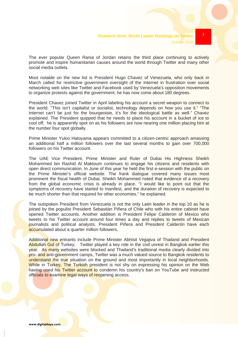The ever popular Queen Rania of Jordan retains the third place continuing to actively promote and inspire humanitarian causes around the world through Twitter and many other social media outlets.

Most notable on the new list is President Hugo Chavez of Venezuela, who only back in March called for restrictive government oversight of the Internet in frustration over social networking web sites like Twitter and Facebook used by Venezuela's opposition movements to organize protests against the government; he has now come about 180 degrees.

President Chavez joined Twitter in April labeling his account a secret weapon to connect to the world. "This isn't capitalist or socialist, technology depends on how you use it." "The Internet can't be just for the bourgeoisie, it's for the ideological battle as well." Chavez explained. The President quipped that he needs to place his account in a bucket of ice to cool off; he is apparently spot on as his followers are now nearing one million placing him at the number four spot globally.

Prime Minister Yukio Hatoyama appears committed to a citizen-centric approach amassing an additional half a million followers over the last several months to gain over 700,000 followers on his Twitter account.

The UAE Vice President, Prime Minister and Ruler of Dubai His Highness Sheikh Mohammed bin Rashid Al Maktoum continues to engage his citizens and residents with open direct communication. In June of this year he held the first e-session with the public on the Prime Minister's official website. The frank dialogue covered many issues most prominent the fiscal health of Dubai. Sheikh Mohammed noted that evidence of a recovery from the global economic crisis is already in place. "I would like to point out that the symptoms of recovery have started to manifest, and the duration of recovery is expected to be much shorter than that required for other economies." he explained.

The outspoken President from Venezuela is not the only Latin leader in the top 10 as he is joined by the populist President Sebastián Piñera of Chile who with his entire cabinet have opened Twitter accounts. Another addition is President Felipe Calderón of Mexico who tweets to his Twitter account around four times a day and replies to tweets of Mexican journalists and political analysts. President Piñera and President Calderón have each accumulated about a quarter million followers.

Additional new entrants include Prime Minister Abhisit Vejjajiva of Thailand and President Abdullah Gul of Turkey. Twitter played a key role in the civil unrest in Bangkok earlier this year. As many websites were blocked and Thailand's traditional media clearly divided into pro- and anti-government camps, Twitter was a much valued source to Bangkok residents to understand the true situation on the ground and most importantly in local neighborhoods. While in Turkey. The Turkish president is not shy on expressing his opinion on the Web having used his Twitter account to condemn his country's ban on YouTube and instructed officials to examine legal ways of reopening access.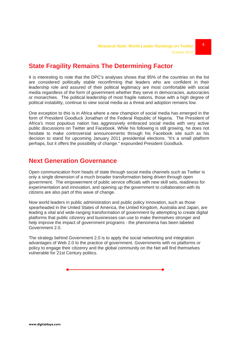#### **State Fragility Remains The Determining Factor**

It is interesting to note that the DPC's analyses shows that 95% of the countries on the list are considered politically stable reconfirming that leaders who are confident in their leadership role and assured of their political legitimacy are most comfortable with social media regardless of the form of government whether they serve in democracies, autocracies or monarchies. The political leadership of most fragile nations, those with a high degree of political instability, continue to view social media as a threat and adoption remains low.

One exception to this is in Africa where a new champion of social media has emerged in the form of President Goodluck Jonathan of the Federal Republic of Nigeria. The President of Africa's most populous nation has aggressively embraced social media with very active public discussions on Twitter and Facebook. While his following is still growing, he does not hesitate to make controversial announcements through his Facebook site such as his decision to stand for upcoming January 2011 presidential elections. "It's a small platform perhaps, but it offers the possibility of change." expounded President Goodluck.

#### **Next Generation Governance**

Open communication from heads of state through social media channels such as Twitter is only a single dimension of a much broader transformation being driven through open government. The empowerment of public service officials with new skill sets, readiness for experimentation and innovation, and opening up the government to collaboration with its citizens are also part of this wave of change.

Now world leaders in public administration and public policy innovation, such as those spearheaded in the United States of America, the United Kingdom, Australia and Japan, are leading a vital and wide-ranging transformation of government by attempting to create digital platforms that public citizenry and businesses can use to make themselves stronger and help improve the impact of government programs - the phenomena has been labeled Government 2.0.

The strategy behind Government 2.0 is to apply the social networking and integration advantages of Web 2.0 to the practice of government. Governments with no platforms or policy to engage their citizenry and the global community on the Net will find themselves vulnerable for 21st Century politics.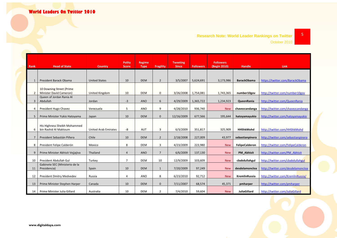#### **Research Note: World Leader Rankings on Twitter** October 2010

| Rank           | <b>Head of State</b>                                  | <b>Country</b>              | <b>Polity</b><br><b>Score</b> | <b>Regime</b><br><b>Type</b> | <b>Fragility</b> | <b>Tweeting</b><br><b>Since</b> | <b>Followers</b> | <b>Followers</b><br>(Begin 2010) | <b>Handle</b>       | <b>Link</b>                        |
|----------------|-------------------------------------------------------|-----------------------------|-------------------------------|------------------------------|------------------|---------------------------------|------------------|----------------------------------|---------------------|------------------------------------|
|                |                                                       |                             |                               |                              |                  |                                 |                  |                                  |                     |                                    |
| 1              | President Barack Obama                                | <b>United States</b>        | 10                            | <b>DEM</b>                   | $\overline{2}$   | 3/5/2007                        | 5,624,691        | 3,173,986                        | <b>BarackObama</b>  | https://twitter.com/BarackObama    |
|                | 10 Downing Street (Prime                              |                             |                               |                              |                  |                                 |                  |                                  |                     |                                    |
| $\overline{2}$ | Minister David Cameron)                               | United Kingdom              | 10                            | <b>DEM</b>                   | 0                | 3/26/2008                       | 1,754,081        | 1,743,365                        | number10gov         | http://twitter.com/number10gov     |
| $\overline{3}$ | Queen of Jordan Rania Al<br>Abdullah                  | Jordan                      | $-3$                          | <b>ANO</b>                   | 6                | 4/29/2009                       | 1,365,722        | 1,234,923                        | <b>QueenRania</b>   | http://twitter.com/QueenRania      |
| $\overline{4}$ | President Hugo Chavez                                 | Venezuela                   | 5                             | ANO                          | 9                | 4/28/2010                       | 936,740          | <b>New</b>                       | chavezcandanga      | http://twitter.com/chavezcandanga  |
| 5              | Prime Minister Yukio Hatoyama                         | Japan                       | 10                            | <b>DEM</b>                   | $\Omega$         | 12/16/2009                      | 677,566          | 195,644                          | hatoyamayukio       | http://twitter.com/hatovamavukio   |
| 6              | His Highness Sheikh Mohammed<br>bin Rashid Al Maktoum | <b>United Arab Emirates</b> | -8                            | <b>AUT</b>                   | 3                | 6/3/2009                        | 351,817          | 325,909                          | <b>HHShkMohd</b>    | http://twitter.com/HHShkMohd       |
| $\overline{7}$ | President Sebastián Piñera                            | Chile                       | 10                            | <b>DEM</b>                   | $\overline{2}$   | 2/18/2008                       | 227,009          | 43,977                           | sebastianpinera     | http://twitter.com/sebastianpinera |
| 8              | President Felipe Calderón                             | Mexico                      | 8                             | <b>DEM</b>                   | 3                | 4/23/2009                       | 223,980          | <b>New</b>                       | FelipeCalderon      | http://twitter.com/FelipeCalderon  |
| 9              | Prime Minister Abhisit Vejjajiva                      | Thailand                    | $\overline{4}$                | <b>ANO</b>                   | $\overline{7}$   | 6/6/2009                        | 137,130          | <b>New</b>                       | <b>PM Abhisit</b>   | http://twitter.com/PM Abhisit      |
| 10             | President Abdullah Gul                                | Turkey                      | $\overline{7}$                | <b>DEM</b>                   | 10               | 12/9/2009                       | 103,609          | <b>New</b>                       | cbabdullahgul       | http://twitter.com/cbabdullahgul   |
| 11             | Gabinete SEC (Ministerio de la<br>Presidencia)        | Spain                       | 10                            | <b>DEM</b>                   | $\mathbf{1}$     | 7/20/2009                       | 97,249           | <b>New</b>                       | desdelamoncloa      | http://twitter.com/desdelamoncloa  |
| 12             | President Dmitry Medvedev                             | Russia                      | 4                             | ANO                          | 8                | 6/23/2010                       | 92,712           | <b>New</b>                       | KremlinRussia       | http://twitter.com/KremlinRussia/  |
| 13             | Prime Minister Stephen Harper                         | Canada                      | 10                            | <b>DEM</b>                   | $\mathbf{0}$     | 7/11/2007                       | 68,574           | 45,371                           | pmharper            | http://twitter.com/pmharper        |
| 14             | Prime Minister Julia Gillard                          | Australia                   | 10                            | DEM                          | $\overline{2}$   | 7/4/2010                        | 59,604           | <b>New</b>                       | <b>JuliaGillard</b> | http://twitter.com/JuliaGillard    |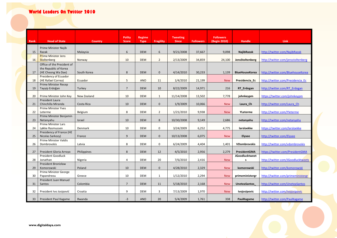#### **World Leaders On Twitter 2010**

| Rank | <b>Head of State</b>                        | <b>Country</b> | <b>Polity</b><br><b>Score</b> | Regime<br><b>Type</b> | <b>Fragility</b> | <b>Tweeting</b><br><b>Since</b> | <b>Followers</b> | <b>Followers</b><br>(Begin 2010) | <b>Handle</b>         | Link                               |
|------|---------------------------------------------|----------------|-------------------------------|-----------------------|------------------|---------------------------------|------------------|----------------------------------|-----------------------|------------------------------------|
|      | Prime Minister Najib                        |                |                               |                       |                  |                                 |                  |                                  |                       |                                    |
| 15   | Razak                                       | Malaysia       | 6                             | <b>DEM</b>            | 6                | 9/21/2008                       | 37,667           | 9,098                            | NajibRazak            | http://twitter.com/NajibRazak      |
|      | <b>Prime Minister Jens</b>                  |                |                               |                       |                  |                                 |                  |                                  |                       |                                    |
| 16   | <b>Stoltenberg</b>                          | Norway         | 10                            | <b>DEM</b>            | $\overline{2}$   | 2/13/2009                       | 34,859           | 24,100                           | JensStoltenberg       | http://twitter.com/jensstoltenberg |
|      | Office of the President of                  |                |                               |                       |                  |                                 |                  |                                  |                       |                                    |
|      | the Republic of Korea                       |                |                               |                       |                  |                                 |                  |                                  |                       |                                    |
| 17   | (HE Cheong Wa Dae)                          | South Korea    | 8                             | <b>DEM</b>            | $\mathbf{0}$     | 4/14/2010                       | 30,233           | 1,139                            | BlueHouseKorea        | http://twitter.com/BluehouseKorea  |
|      | Presidency of Ecuador                       |                |                               |                       |                  |                                 |                  |                                  |                       |                                    |
| 18   | (HE Rafael Correa)                          | Ecuador        | 5                             | ANO                   | 11               | 1/4/2010                        | 21,199           | <b>New</b>                       | Presidencia Ec        | http://twitter.com/Presidencia Ec  |
|      | Prime Minister Recep<br>Tayyip Erdoğan      |                | $7\overline{ }$               | <b>DEM</b>            | 10               | 8/22/2009                       | 14,971           | 216                              | RT Erdogan            | http://twitter.com/RT Erdogan      |
| 19   |                                             | Turkey         |                               |                       |                  |                                 |                  |                                  |                       |                                    |
| 20   | Prime Minister John Key                     | New Zealand    | 10                            | <b>DEM</b>            | $\mathbf{1}$     | 11/14/2008                      | 13,502           | 7,778                            | johnkeypm             | https://twitter.com/johnkeypm      |
|      | <b>President Laura</b>                      |                |                               |                       |                  |                                 |                  |                                  |                       |                                    |
| 21   | Chinchilla Miranda                          | Costa Rica     | 10                            | <b>DEM</b>            | $\mathbf{0}$     | 1/9/2009                        | 10,066           | <b>New</b>                       | Laura_Ch              | http://twitter.com/Laura Ch        |
|      | <b>Prime Minister Yves</b>                  |                |                               |                       |                  |                                 |                  |                                  |                       |                                    |
| 22   | Leterme                                     | Belgium        | 8                             | <b>DEM</b>            | $\overline{2}$   | 1/21/2010                       | 9,938            | <b>New</b>                       | <b>YLeterme</b>       | http://twitter.com/Yleterme        |
|      | Prime Minister Benjamin                     |                |                               |                       |                  |                                 |                  |                                  |                       |                                    |
| 23   | Netanyahu                                   | Israel         | 10                            | <b>DEM</b>            | 8                | 10/30/2008                      | 9,149            | 2,686                            | netanyahu             | http://twitter.com/netanyahu       |
|      | <b>Prime Minister Lars</b>                  |                | 10                            |                       | $\mathbf 0$      |                                 |                  |                                  |                       | https://twitter.com/larsloekke     |
| 24   | Løkke Rasmussen<br>Presidency of France (HE | Denmark        |                               | <b>DEM</b>            |                  | 3/24/2009                       | 6,252            | 4,775                            | larsloekke            |                                    |
| 25   | Nicolas Sarkozy)                            | France         | 9                             | <b>DEM</b>            | $\mathbf{0}$     | 10/13/2008                      | 6,075            | <b>New</b>                       | <b>Elysee</b>         | http://twitter.com/Elysee          |
|      | <b>Prime Minister Valdis</b>                |                |                               |                       |                  |                                 |                  |                                  |                       |                                    |
| 26   | Dombrovskis                                 | Latvia         | 8                             | <b>DEM</b>            | $\mathbf 0$      | 6/24/2009                       | 4,404            | 1,401                            | <b>VDombrovskis</b>   | http://twitter.com/vdombrovskis    |
|      |                                             |                |                               |                       |                  |                                 |                  |                                  |                       |                                    |
| 27   | President Gloria Arroyo                     | Philippines    | 8                             | <b>DEM</b>            | 12               | 4/5/2010                        | 2,956            | 2,279                            | PresidentGMA          | https://twitter.com/PresidentGMA   |
|      | President Goodluck                          |                |                               |                       |                  |                                 |                  |                                  | <b>JGoodlucktweet</b> |                                    |
| 28   | Jonathan                                    | Nigeria        | 4                             | <b>DEM</b>            | 20               | 7/6/2010                        | 2,416            | <b>New</b>                       | s                     | http://twitter.com/JGoodlucktweets |
| 29   | President Bronisław<br>Komorowski           | Poland         | 10                            | <b>DEM</b>            | $\mathbf 0$      | 4/28/2010                       | 2,329            | <b>New</b>                       | komorowski            | http://twitter.com/komorowski      |
|      | Prime Minister George                       |                |                               |                       |                  |                                 |                  |                                  |                       |                                    |
| 30   | Papandreou                                  | Greece         | 10                            | <b>DEM</b>            | $\mathbf{1}$     | 1/12/2010                       | 2,294            | <b>New</b>                       | primeministergr       | http://twitter.com/primeministergr |
|      | President Juan Manuel                       |                |                               |                       |                  |                                 |                  |                                  |                       |                                    |
| 31   | Santos                                      | Colombia       | $7\overline{ }$               | <b>DEM</b>            | 11               | 5/18/2010                       | 2,168            | <b>New</b>                       | <b>UneteaSantos</b>   | http://twitter.com/UneteaSantos    |
|      |                                             |                |                               |                       |                  |                                 |                  |                                  |                       |                                    |
| 32   | President Ivo Josipović                     | Croatia        | 9                             | <b>DEM</b>            | 3                | 7/13/2009                       | 1,970            | <b>New</b>                       | ivojosipovic          | http://twitter.com/ivojosipovic    |
| 33   | President Paul Kagame                       | Rwanda         | $-3$                          | <b>ANO</b>            | 20               | 5/4/2009                        | 1,761            | 338                              | PaulKagame            | http://twitter.com/PaulKagame      |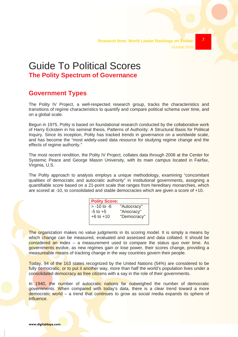7



**The Polity Spectrum of Governance**

#### **Government Types**

The Polity IV Project, a well-respected research group, tracks the characteristics and transitions of regime characteristics to quantify and compare political schema over time, and on a global scale.

Begun in 1975, Polity is based on foundational research conducted by the collaborative work of Harry Eckstein in his seminal thesis, Patterns of Authority: A Structural Basis for Political Inquiry. Since its inception, Polity has tracked trends in governance on a worldwide scale, and has become the "most widely-used data resource for studying regime change and the effects of regime authority."

The most recent rendition, the Polity IV Project, collates data through 2008 at the Center for Systemic Peace and George Mason University, with its main campus located in Fairfax, Virginia, U.S.

The Polity approach to analysis employs a unique methodology, examining "concomitant qualities of democratic and autocratic authority" in institutional governments, assigning a quantifiable score based on a 21-point scale that ranges from hereditary monarchies, which are scored at -10, to consolidated and stable democracies which are given a score of +10.

| "Autocracy" |
|-------------|
| "Anocracy"  |
| "Democracy" |
|             |

The organization makes no value judgments in its scoring model. It is simply a means by which change can be measured, evaluated and assessed and data collated. It should be considered an index – a measurement used to compare the status quo over time. As governments evolve, as new regimes gain or lose power, their scores change, providing a measureable means of tracking change in the way countries govern their people.

Today, 94 of the 163 states recognized by the United Nations (54%) are considered to be fully democratic, or to put it another way, more than half the world's population lives under a consolidated democracy as free citizens with a say in the role of their governments.

In 1940, the number of autocratic nations far outweighed the number of democratic governments. When compared with today's data, there is a clear trend toward a more democratic world – a trend that continues to grow as social media expands its sphere of influence.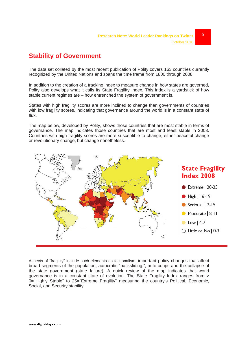#### **Stability of Government**

The data set collated by the most recent publication of Polity covers 163 countries currently recognized by the United Nations and spans the time frame from 1800 through 2008.

In addition to the creation of a tracking index to measure change in how states are governed, Polity also develops what it calls its State Fragility Index. This index is a yardstick of how stable current regimes are – how entrenched the system of government is.

States with high fragility scores are more inclined to change than governments of countries with low fragility scores, indicating that governance around the world is in a constant state of flux.

The map below, developed by Polity, shows those countries that are most stable in terms of governance. The map indicates those countries that are most and least stable in 2008. Countries with high fragility scores are more susceptible to change, either peaceful change or revolutionary change, but change nonetheless.



Aspects of "fragility" include such elements as factionalism, important policy changes that affect broad segments of the population, autocratic "backsliding,", auto-coups and the collapse of the state government (state failure). A quick review of the map indicates that world governance is in a constant state of evolution. The State Fragility Index ranges from > 0="Highly Stable" to 25="Extreme Fragility" measuring the country's Political, Economic, Social, and Security stability.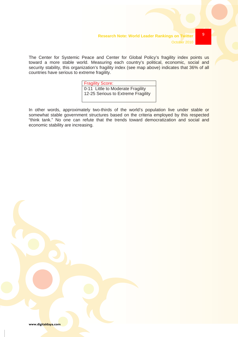9

The Center for Systemic Peace and Center for Global Policy's fragility index points us toward a more stable world. Measuring each country's political, economic, social and security stability, this organization's fragility index (see map above) indicates that 36% of all countries have serious to extreme fragility.

> Fragility Score: 0-11 Little to Moderate Fragility 12-25 Serious to Extreme Fragility

In other words, approximately two-thirds of the world's population live under stable or somewhat stable government structures based on the criteria employed by this respected "think tank." No one can refute that the trends toward democratization and social and economic stability are increasing.